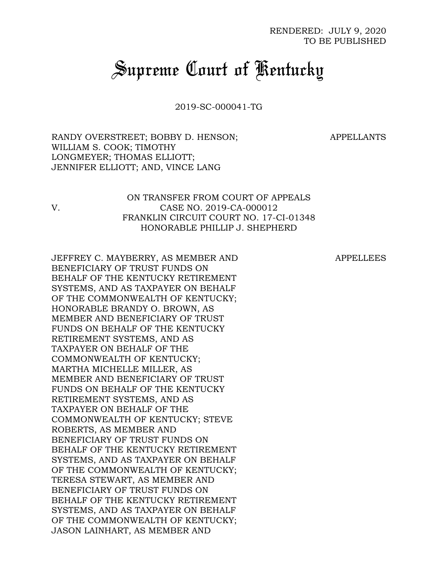# *Supreme Court of Kentucky*

2019-SC-000041-TG

RANDY OVERSTREET; BOBBY D. HENSON; WILLIAM S. COOK; TIMOTHY LONGMEYER; THOMAS ELLIOTT; JENNIFER ELLIOTT; AND, VINCE LANG

APPELLANTS

# ON TRANSFER FROM COURT OF APPEALS V. CASE NO. 2019-CA-000012 FRANKLIN CIRCUIT COURT NO. 17-CI-01348 HONORABLE PHILLIP J. SHEPHERD

JEFFREY C. MAYBERRY, AS MEMBER AND BENEFICIARY OF TRUST FUNDS ON BEHALF OF THE KENTUCKY RETIREMENT SYSTEMS, AND AS TAXPAYER ON BEHALF OF THE COMMONWEALTH OF KENTUCKY; HONORABLE BRANDY O. BROWN, AS MEMBER AND BENEFICIARY OF TRUST FUNDS ON BEHALF OF THE KENTUCKY RETIREMENT SYSTEMS, AND AS TAXPAYER ON BEHALF OF THE COMMONWEALTH OF KENTUCKY; MARTHA MICHELLE MILLER, AS MEMBER AND BENEFICIARY OF TRUST FUNDS ON BEHALF OF THE KENTUCKY RETIREMENT SYSTEMS, AND AS TAXPAYER ON BEHALF OF THE COMMONWEALTH OF KENTUCKY; STEVE ROBERTS, AS MEMBER AND BENEFICIARY OF TRUST FUNDS ON BEHALF OF THE KENTUCKY RETIREMENT SYSTEMS, AND AS TAXPAYER ON BEHALF OF THE COMMONWEALTH OF KENTUCKY; TERESA STEWART, AS MEMBER AND BENEFICIARY OF TRUST FUNDS ON BEHALF OF THE KENTUCKY RETIREMENT SYSTEMS, AND AS TAXPAYER ON BEHALF OF THE COMMONWEALTH OF KENTUCKY; JASON LAINHART, AS MEMBER AND

APPELLEES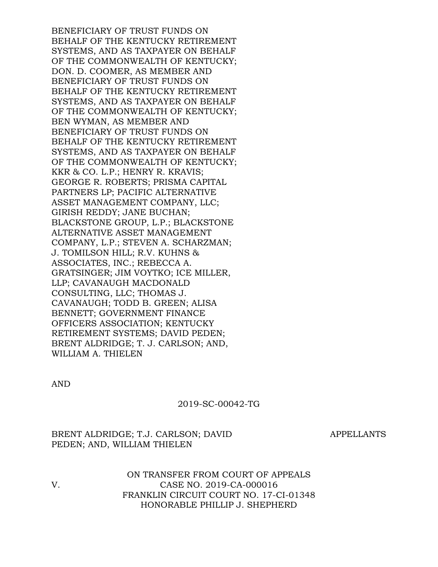BENEFICIARY OF TRUST FUNDS ON BEHALF OF THE KENTUCKY RETIREMENT SYSTEMS, AND AS TAXPAYER ON BEHALF OF THE COMMONWEALTH OF KENTUCKY; DON. D. COOMER, AS MEMBER AND BENEFICIARY OF TRUST FUNDS ON BEHALF OF THE KENTUCKY RETIREMENT SYSTEMS, AND AS TAXPAYER ON BEHALF OF THE COMMONWEALTH OF KENTUCKY; BEN WYMAN, AS MEMBER AND BENEFICIARY OF TRUST FUNDS ON BEHALF OF THE KENTUCKY RETIREMENT SYSTEMS, AND AS TAXPAYER ON BEHALF OF THE COMMONWEALTH OF KENTUCKY; KKR & CO. L.P.; HENRY R. KRAVIS; GEORGE R. ROBERTS; PRISMA CAPITAL PARTNERS LP; PACIFIC ALTERNATIVE ASSET MANAGEMENT COMPANY, LLC; GIRISH REDDY; JANE BUCHAN; BLACKSTONE GROUP, L.P.; BLACKSTONE ALTERNATIVE ASSET MANAGEMENT COMPANY, L.P.; STEVEN A. SCHARZMAN; J. TOMILSON HILL; R.V. KUHNS & ASSOCIATES, INC.; REBECCA A. GRATSINGER; JIM VOYTKO; ICE MILLER, LLP; CAVANAUGH MACDONALD CONSULTING, LLC; THOMAS J. CAVANAUGH; TODD B. GREEN; ALISA BENNETT; GOVERNMENT FINANCE OFFICERS ASSOCIATION; KENTUCKY RETIREMENT SYSTEMS; DAVID PEDEN; BRENT ALDRIDGE; T. J. CARLSON; AND, WILLIAM A. THIELEN

AND

2019-SC-00042-TG

BRENT ALDRIDGE; T.J. CARLSON; DAVID PEDEN; AND, WILLIAM THIELEN

APPELLANTS

ON TRANSFER FROM COURT OF APPEALS V. CASE NO. 2019-CA-000016 FRANKLIN CIRCUIT COURT NO. 17-CI-01348 HONORABLE PHILLIP J. SHEPHERD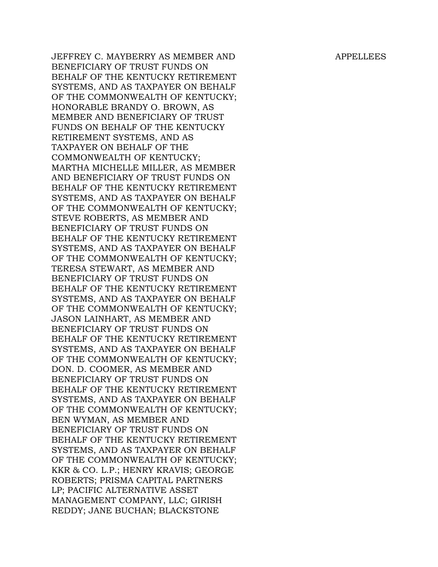APPELLEES

JEFFREY C. MAYBERRY AS MEMBER AND BENEFICIARY OF TRUST FUNDS ON BEHALF OF THE KENTUCKY RETIREMENT SYSTEMS, AND AS TAXPAYER ON BEHALF OF THE COMMONWEALTH OF KENTUCKY; HONORABLE BRANDY O. BROWN, AS MEMBER AND BENEFICIARY OF TRUST FUNDS ON BEHALF OF THE KENTUCKY RETIREMENT SYSTEMS, AND AS TAXPAYER ON BEHALF OF THE COMMONWEALTH OF KENTUCKY; MARTHA MICHELLE MILLER, AS MEMBER AND BENEFICIARY OF TRUST FUNDS ON BEHALF OF THE KENTUCKY RETIREMENT SYSTEMS, AND AS TAXPAYER ON BEHALF OF THE COMMONWEALTH OF KENTUCKY; STEVE ROBERTS, AS MEMBER AND BENEFICIARY OF TRUST FUNDS ON BEHALF OF THE KENTUCKY RETIREMENT SYSTEMS, AND AS TAXPAYER ON BEHALF OF THE COMMONWEALTH OF KENTUCKY; TERESA STEWART, AS MEMBER AND BENEFICIARY OF TRUST FUNDS ON BEHALF OF THE KENTUCKY RETIREMENT SYSTEMS, AND AS TAXPAYER ON BEHALF OF THE COMMONWEALTH OF KENTUCKY; JASON LAINHART, AS MEMBER AND BENEFICIARY OF TRUST FUNDS ON BEHALF OF THE KENTUCKY RETIREMENT SYSTEMS, AND AS TAXPAYER ON BEHALF OF THE COMMONWEALTH OF KENTUCKY; DON. D. COOMER, AS MEMBER AND BENEFICIARY OF TRUST FUNDS ON BEHALF OF THE KENTUCKY RETIREMENT SYSTEMS, AND AS TAXPAYER ON BEHALF OF THE COMMONWEALTH OF KENTUCKY; BEN WYMAN, AS MEMBER AND BENEFICIARY OF TRUST FUNDS ON BEHALF OF THE KENTUCKY RETIREMENT SYSTEMS, AND AS TAXPAYER ON BEHALF OF THE COMMONWEALTH OF KENTUCKY; KKR & CO. L.P.; HENRY KRAVIS; GEORGE ROBERTS; PRISMA CAPITAL PARTNERS LP; PACIFIC ALTERNATIVE ASSET MANAGEMENT COMPANY, LLC; GIRISH REDDY; JANE BUCHAN; BLACKSTONE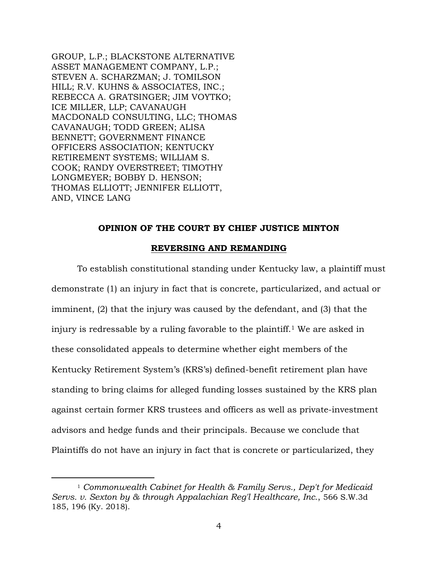GROUP, L.P.; BLACKSTONE ALTERNATIVE ASSET MANAGEMENT COMPANY, L.P.; STEVEN A. SCHARZMAN; J. TOMILSON HILL; R.V. KUHNS & ASSOCIATES, INC.; REBECCA A. GRATSINGER; JIM VOYTKO; ICE MILLER, LLP; CAVANAUGH MACDONALD CONSULTING, LLC; THOMAS CAVANAUGH; TODD GREEN; ALISA BENNETT; GOVERNMENT FINANCE OFFICERS ASSOCIATION; KENTUCKY RETIREMENT SYSTEMS; WILLIAM S. COOK; RANDY OVERSTREET; TIMOTHY LONGMEYER; BOBBY D. HENSON; THOMAS ELLIOTT; JENNIFER ELLIOTT, AND, VINCE LANG

 $\overline{a}$ 

#### **OPINION OF THE COURT BY CHIEF JUSTICE MINTON**

#### **REVERSING AND REMANDING**

To establish constitutional standing under Kentucky law, a plaintiff must demonstrate (1) an injury in fact that is concrete, particularized, and actual or imminent, (2) that the injury was caused by the defendant, and (3) that the injury is redressable by a ruling favorable to the plaintiff.<sup>1</sup> We are asked in these consolidated appeals to determine whether eight members of the Kentucky Retirement System's (KRS's) defined-benefit retirement plan have standing to bring claims for alleged funding losses sustained by the KRS plan against certain former KRS trustees and officers as well as private-investment advisors and hedge funds and their principals. Because we conclude that Plaintiffs do not have an injury in fact that is concrete or particularized, they

<sup>1</sup> *Commonwealth Cabinet for Health & Family Servs., Dep't for Medicaid Servs. v. Sexton by & through Appalachian Reg'l Healthcare, Inc.*, 566 S.W.3d 185, 196 (Ky. 2018).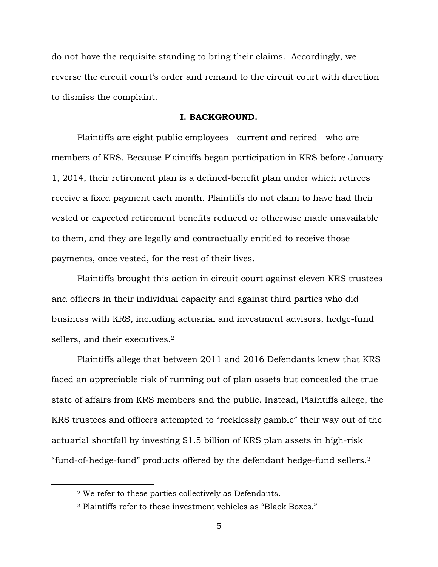do not have the requisite standing to bring their claims. Accordingly, we reverse the circuit court's order and remand to the circuit court with direction to dismiss the complaint.

#### **I. BACKGROUND.**

Plaintiffs are eight public employees—current and retired—who are members of KRS. Because Plaintiffs began participation in KRS before January 1, 2014, their retirement plan is a defined-benefit plan under which retirees receive a fixed payment each month. Plaintiffs do not claim to have had their vested or expected retirement benefits reduced or otherwise made unavailable to them, and they are legally and contractually entitled to receive those payments, once vested, for the rest of their lives.

Plaintiffs brought this action in circuit court against eleven KRS trustees and officers in their individual capacity and against third parties who did business with KRS, including actuarial and investment advisors, hedge-fund sellers, and their executives.<sup>2</sup>

Plaintiffs allege that between 2011 and 2016 Defendants knew that KRS faced an appreciable risk of running out of plan assets but concealed the true state of affairs from KRS members and the public. Instead, Plaintiffs allege, the KRS trustees and officers attempted to "recklessly gamble" their way out of the actuarial shortfall by investing \$1.5 billion of KRS plan assets in high-risk "fund-of-hedge-fund" products offered by the defendant hedge-fund sellers.<sup>3</sup>

<sup>2</sup> We refer to these parties collectively as Defendants.

<sup>3</sup> Plaintiffs refer to these investment vehicles as "Black Boxes."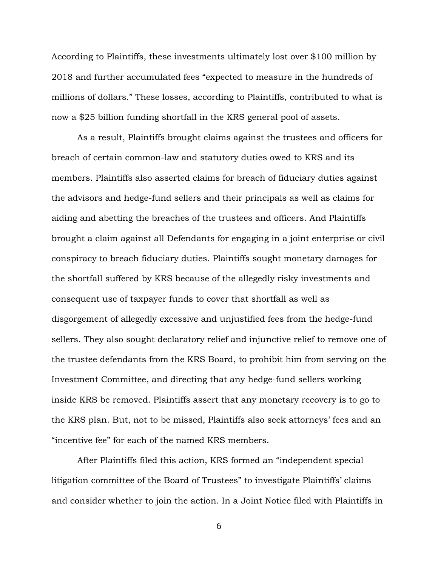According to Plaintiffs, these investments ultimately lost over \$100 million by 2018 and further accumulated fees "expected to measure in the hundreds of millions of dollars." These losses, according to Plaintiffs, contributed to what is now a \$25 billion funding shortfall in the KRS general pool of assets.

As a result, Plaintiffs brought claims against the trustees and officers for breach of certain common-law and statutory duties owed to KRS and its members. Plaintiffs also asserted claims for breach of fiduciary duties against the advisors and hedge-fund sellers and their principals as well as claims for aiding and abetting the breaches of the trustees and officers. And Plaintiffs brought a claim against all Defendants for engaging in a joint enterprise or civil conspiracy to breach fiduciary duties. Plaintiffs sought monetary damages for the shortfall suffered by KRS because of the allegedly risky investments and consequent use of taxpayer funds to cover that shortfall as well as disgorgement of allegedly excessive and unjustified fees from the hedge-fund sellers. They also sought declaratory relief and injunctive relief to remove one of the trustee defendants from the KRS Board, to prohibit him from serving on the Investment Committee, and directing that any hedge-fund sellers working inside KRS be removed. Plaintiffs assert that any monetary recovery is to go to the KRS plan. But, not to be missed, Plaintiffs also seek attorneys' fees and an "incentive fee" for each of the named KRS members.

After Plaintiffs filed this action, KRS formed an "independent special litigation committee of the Board of Trustees" to investigate Plaintiffs' claims and consider whether to join the action. In a Joint Notice filed with Plaintiffs in

6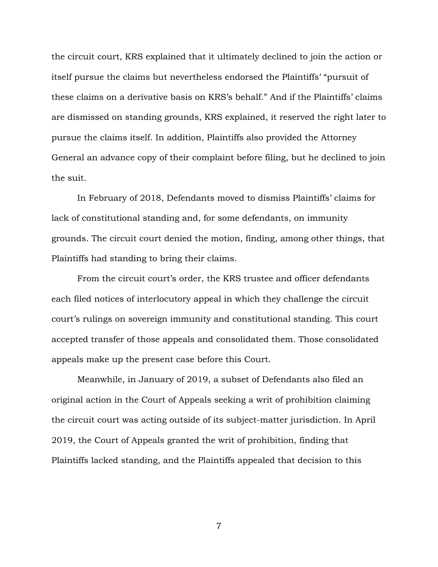the circuit court, KRS explained that it ultimately declined to join the action or itself pursue the claims but nevertheless endorsed the Plaintiffs' "pursuit of these claims on a derivative basis on KRS's behalf." And if the Plaintiffs' claims are dismissed on standing grounds, KRS explained, it reserved the right later to pursue the claims itself. In addition, Plaintiffs also provided the Attorney General an advance copy of their complaint before filing, but he declined to join the suit.

In February of 2018, Defendants moved to dismiss Plaintiffs' claims for lack of constitutional standing and, for some defendants, on immunity grounds. The circuit court denied the motion, finding, among other things, that Plaintiffs had standing to bring their claims.

From the circuit court's order, the KRS trustee and officer defendants each filed notices of interlocutory appeal in which they challenge the circuit court's rulings on sovereign immunity and constitutional standing. This court accepted transfer of those appeals and consolidated them. Those consolidated appeals make up the present case before this Court.

Meanwhile, in January of 2019, a subset of Defendants also filed an original action in the Court of Appeals seeking a writ of prohibition claiming the circuit court was acting outside of its subject-matter jurisdiction. In April 2019, the Court of Appeals granted the writ of prohibition, finding that Plaintiffs lacked standing, and the Plaintiffs appealed that decision to this

7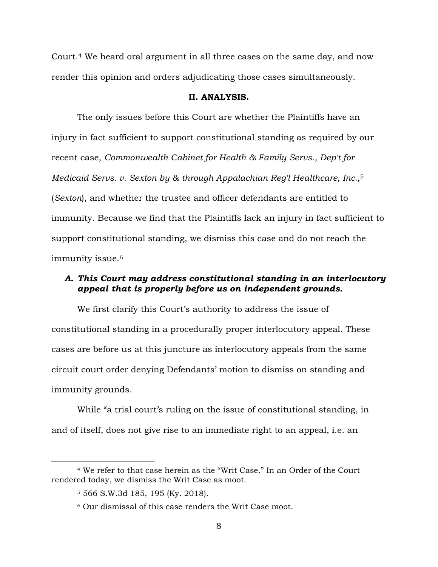Court.<sup>4</sup> We heard oral argument in all three cases on the same day, and now render this opinion and orders adjudicating those cases simultaneously.

#### **II. ANALYSIS.**

The only issues before this Court are whether the Plaintiffs have an injury in fact sufficient to support constitutional standing as required by our recent case, *Commonwealth Cabinet for Health & Family Servs., Dep't for Medicaid Servs. v. Sexton by & through Appalachian Reg'l Healthcare, Inc.,*<sup>5</sup> (*Sexton*), and whether the trustee and officer defendants are entitled to immunity. Because we find that the Plaintiffs lack an injury in fact sufficient to support constitutional standing, we dismiss this case and do not reach the immunity issue.<sup>6</sup>

# *A. This Court may address constitutional standing in an interlocutory appeal that is properly before us on independent grounds.*

We first clarify this Court's authority to address the issue of constitutional standing in a procedurally proper interlocutory appeal. These cases are before us at this juncture as interlocutory appeals from the same circuit court order denying Defendants' motion to dismiss on standing and immunity grounds.

While "a trial court's ruling on the issue of constitutional standing, in and of itself, does not give rise to an immediate right to an appeal, i.e. an

<sup>4</sup> We refer to that case herein as the "Writ Case." In an Order of the Court rendered today, we dismiss the Writ Case as moot.

<sup>5</sup> 566 S.W.3d 185, 195 (Ky. 2018).

<sup>6</sup> Our dismissal of this case renders the Writ Case moot.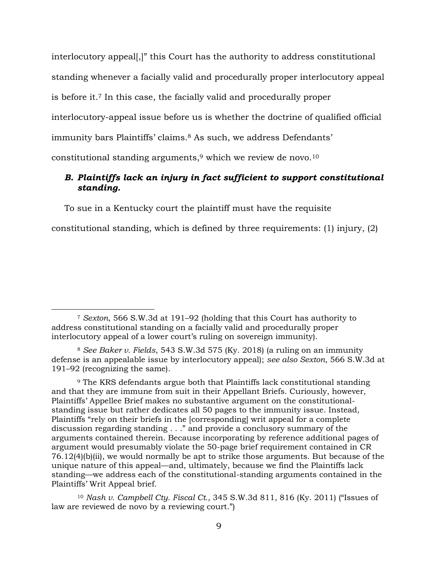interlocutory appeal[,]" this Court has the authority to address constitutional standing whenever a facially valid and procedurally proper interlocutory appeal is before it.<sup>7</sup> In this case, the facially valid and procedurally proper interlocutory-appeal issue before us is whether the doctrine of qualified official immunity bars Plaintiffs' claims.<sup>8</sup> As such, we address Defendants' constitutional standing arguments,<sup>9</sup> which we review de novo.<sup>10</sup>

# *B. Plaintiffs lack an injury in fact sufficient to support constitutional standing.*

To sue in a Kentucky court the plaintiff must have the requisite

constitutional standing, which is defined by three requirements: (1) injury, (2)

 $\overline{a}$ 

<sup>10</sup> *Nash v. Campbell Cty. Fiscal Ct.*, 345 S.W.3d 811, 816 (Ky. 2011) ("Issues of law are reviewed de novo by a reviewing court.")

<sup>7</sup> *Sexton*, 566 S.W.3d at 191–92 (holding that this Court has authority to address constitutional standing on a facially valid and procedurally proper interlocutory appeal of a lower court's ruling on sovereign immunity).

<sup>8</sup> *See Baker v. Fields*, 543 S.W.3d 575 (Ky. 2018) (a ruling on an immunity defense is an appealable issue by interlocutory appeal); *see also Sexton*, 566 S.W.3d at 191–92 (recognizing the same).

<sup>9</sup> The KRS defendants argue both that Plaintiffs lack constitutional standing and that they are immune from suit in their Appellant Briefs. Curiously, however, Plaintiffs' Appellee Brief makes no substantive argument on the constitutionalstanding issue but rather dedicates all 50 pages to the immunity issue. Instead, Plaintiffs "rely on their briefs in the [corresponding] writ appeal for a complete discussion regarding standing . . ." and provide a conclusory summary of the arguments contained therein. Because incorporating by reference additional pages of argument would presumably violate the 50-page brief requirement contained in CR 76.12(4)(b)(ii), we would normally be apt to strike those arguments. But because of the unique nature of this appeal—and, ultimately, because we find the Plaintiffs lack standing—we address each of the constitutional-standing arguments contained in the Plaintiffs' Writ Appeal brief.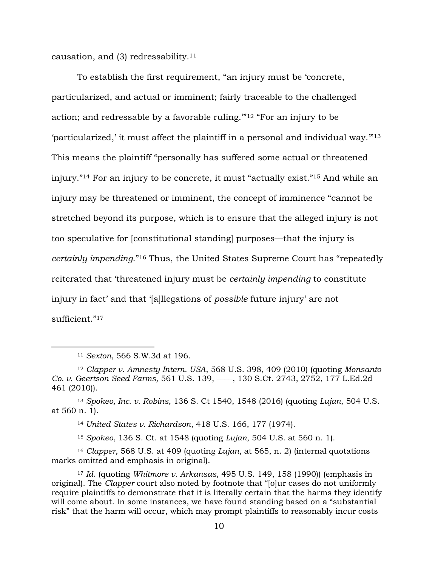causation, and  $(3)$  redressability.<sup>11</sup>

To establish the first requirement, "an injury must be 'concrete, particularized, and actual or imminent; fairly traceable to the challenged action; and redressable by a favorable ruling.'"<sup>12</sup> "For an injury to be 'particularized,' it must affect the plaintiff in a personal and individual way.'"<sup>13</sup> This means the plaintiff "personally has suffered some actual or threatened injury."<sup>14</sup> For an injury to be concrete, it must "actually exist."<sup>15</sup> And while an injury may be threatened or imminent, the concept of imminence "cannot be stretched beyond its purpose, which is to ensure that the alleged injury is not too speculative for [constitutional standing] purposes—that the injury is *certainly impending*."<sup>16</sup> Thus, the United States Supreme Court has "repeatedly reiterated that 'threatened injury must be *certainly impending* to constitute injury in fact' and that '[a]llegations of *possible* future injury' are not sufficient."<sup>17</sup>

 $\overline{a}$ 

<sup>14</sup> *United States v. Richardson*, 418 U.S. 166, 177 (1974).

<sup>15</sup> *Spokeo*, 136 S. Ct. at 1548 (quoting *Lujan*, 504 U.S. at 560 n. 1).

<sup>16</sup> *Clapper*, 568 U.S. at 409 (quoting *Lujan*, at 565, n. 2) (internal quotations marks omitted and emphasis in original).

<sup>11</sup> *Sexton*, 566 S.W.3d at 196.

<sup>12</sup> *Clapper v. Amnesty Intern. USA*, 568 U.S. 398, 409 (2010) (quoting *Monsanto Co. v. Geertson Seed Farms,* 561 U.S. 139, ––––, 130 S.Ct. 2743, 2752, 177 L.Ed.2d 461 (2010)).

<sup>13</sup> *Spokeo, Inc. v. Robins*, 136 S. Ct 1540, 1548 (2016) (quoting *Lujan*, 504 U.S. at 560 n. 1).

<sup>17</sup> *Id*. (quoting *Whitmore v. Arkansas*, 495 U.S. 149, 158 (1990)) (emphasis in original). The *Clapper* court also noted by footnote that "[o]ur cases do not uniformly require plaintiffs to demonstrate that it is literally certain that the harms they identify will come about. In some instances, we have found standing based on a "substantial risk" that the harm will occur, which may prompt plaintiffs to reasonably incur costs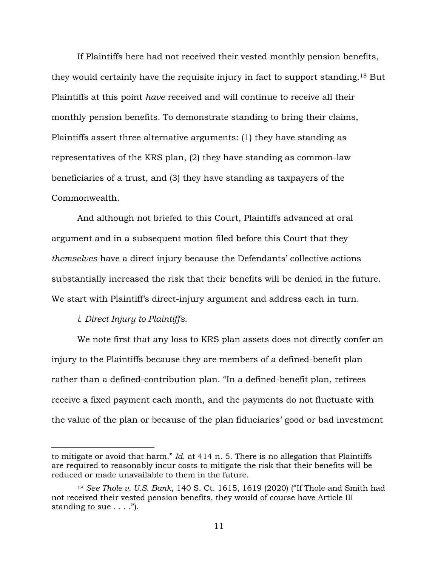If Plaintiffs here had not received their vested monthly pension benefits, they would certainly have the requisite injury in fact to support standing.<sup>18</sup> But Plaintiffs at this point *have* received and will continue to receive all their monthly pension benefits. To demonstrate standing to bring their claims, Plaintiffs assert three alternative arguments: (1) they have standing as representatives of the KRS plan, (2) they have standing as common-law beneficiaries of a trust, and (3) they have standing as taxpayers of the Commonwealth.

And although not briefed to this Court, Plaintiffs advanced at oral argument and in a subsequent motion filed before this Court that they *themselves* have a direct injury because the Defendants' collective actions substantially increased the risk that their benefits will be denied in the future. We start with Plaintiff's direct-injury argument and address each in turn.

### *i. Direct Injury to Plaintiffs.*

 $\overline{a}$ 

We note first that any loss to KRS plan assets does not directly confer an injury to the Plaintiffs because they are members of a defined-benefit plan rather than a defined-contribution plan. "In a defined-benefit plan, retirees receive a fixed payment each month, and the payments do not fluctuate with the value of the plan or because of the plan fiduciaries' good or bad investment

to mitigate or avoid that harm." *Id*. at 414 n. 5. There is no allegation that Plaintiffs are required to reasonably incur costs to mitigate the risk that their benefits will be reduced or made unavailable to them in the future.

<sup>18</sup> *See Thole v. U.S. Bank*, 140 S. Ct. 1615, 1619 (2020) ("If Thole and Smith had not received their vested pension benefits, they would of course have Article III standing to sue  $\dots$ .").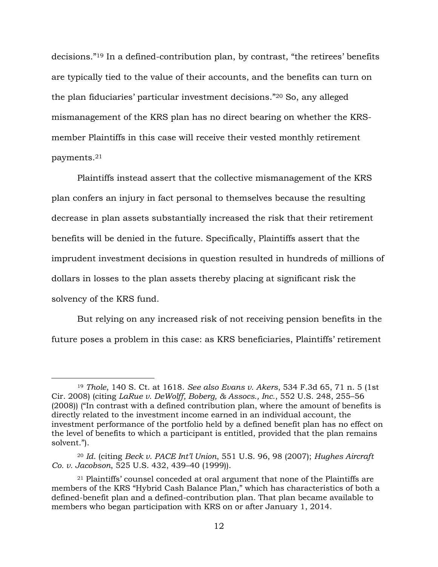decisions."<sup>19</sup> In a defined-contribution plan, by contrast, "the retirees' benefits are typically tied to the value of their accounts, and the benefits can turn on the plan fiduciaries' particular investment decisions."<sup>20</sup> So, any alleged mismanagement of the KRS plan has no direct bearing on whether the KRSmember Plaintiffs in this case will receive their vested monthly retirement payments.<sup>21</sup>

Plaintiffs instead assert that the collective mismanagement of the KRS plan confers an injury in fact personal to themselves because the resulting decrease in plan assets substantially increased the risk that their retirement benefits will be denied in the future. Specifically, Plaintiffs assert that the imprudent investment decisions in question resulted in hundreds of millions of dollars in losses to the plan assets thereby placing at significant risk the solvency of the KRS fund.

But relying on any increased risk of not receiving pension benefits in the future poses a problem in this case: as KRS beneficiaries, Plaintiffs' retirement

<sup>19</sup> *Thole*, 140 S. Ct. at 1618. *See also Evans v. Akers*, 534 F.3d 65, 71 n. 5 (1st Cir. 2008) (citing *LaRue v. DeWolff, Boberg, & Assocs., Inc*., 552 U.S. 248, 255–56 (2008)) ("In contrast with a defined contribution plan, where the amount of benefits is directly related to the investment income earned in an individual account, the investment performance of the portfolio held by a defined benefit plan has no effect on the level of benefits to which a participant is entitled, provided that the plan remains solvent.").

<sup>20</sup> *Id*. (citing *Beck v. PACE Int'l Union*, 551 U.S. 96, 98 (2007); *Hughes Aircraft Co. v. Jacobson*, 525 U.S. 432, 439–40 (1999)).

<sup>21</sup> Plaintiffs' counsel conceded at oral argument that none of the Plaintiffs are members of the KRS "Hybrid Cash Balance Plan," which has characteristics of both a defined-benefit plan and a defined-contribution plan. That plan became available to members who began participation with KRS on or after January 1, 2014.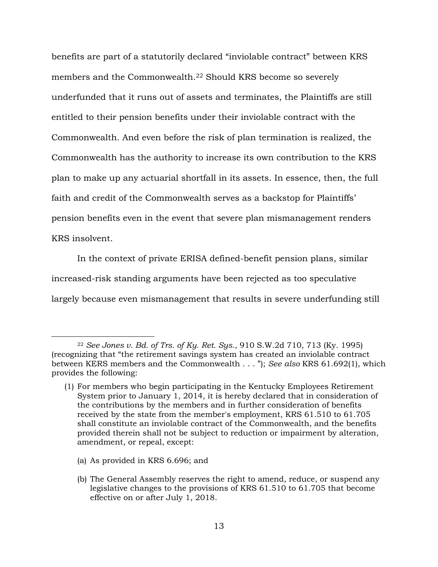benefits are part of a statutorily declared "inviolable contract" between KRS members and the Commonwealth.<sup>22</sup> Should KRS become so severely underfunded that it runs out of assets and terminates, the Plaintiffs are still entitled to their pension benefits under their inviolable contract with the Commonwealth. And even before the risk of plan termination is realized, the Commonwealth has the authority to increase its own contribution to the KRS plan to make up any actuarial shortfall in its assets. In essence, then, the full faith and credit of the Commonwealth serves as a backstop for Plaintiffs' pension benefits even in the event that severe plan mismanagement renders KRS insolvent.

In the context of private ERISA defined-benefit pension plans, similar increased-risk standing arguments have been rejected as too speculative largely because even mismanagement that results in severe underfunding still

(a) As provided in KRS 6.696; and

<sup>22</sup> *See Jones v. Bd. of Trs. of Ky. Ret. Sys.*, 910 S.W.2d 710, 713 (Ky. 1995) (recognizing that "the retirement savings system has created an inviolable contract between KERS members and the Commonwealth . . . "); *See also* KRS 61.692(1), which provides the following:

<sup>(1)</sup> For members who begin participating in the Kentucky Employees Retirement System prior to January 1, 2014, it is hereby declared that in consideration of the contributions by the members and in further consideration of benefits received by the state from the member's employment, KRS 61.510 to 61.705 shall constitute an inviolable contract of the Commonwealth, and the benefits provided therein shall not be subject to reduction or impairment by alteration, amendment, or repeal, except:

<sup>(</sup>b) The General Assembly reserves the right to amend, reduce, or suspend any legislative changes to the provisions of KRS 61.510 to 61.705 that become effective on or after July 1, 2018.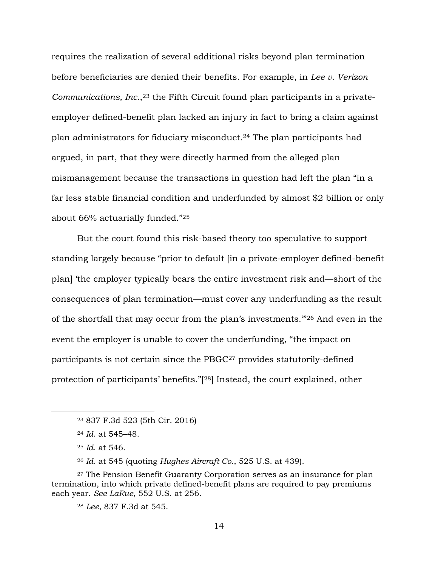requires the realization of several additional risks beyond plan termination before beneficiaries are denied their benefits. For example, in *Lee v. Verizon Communications, Inc.*, <sup>23</sup> the Fifth Circuit found plan participants in a privateemployer defined-benefit plan lacked an injury in fact to bring a claim against plan administrators for fiduciary misconduct.<sup>24</sup> The plan participants had argued, in part, that they were directly harmed from the alleged plan mismanagement because the transactions in question had left the plan "in a far less stable financial condition and underfunded by almost \$2 billion or only about 66% actuarially funded."<sup>25</sup>

But the court found this risk-based theory too speculative to support standing largely because "prior to default [in a private-employer defined-benefit plan] 'the employer typically bears the entire investment risk and—short of the consequences of plan termination—must cover any underfunding as the result of the shortfall that may occur from the plan's investments.'"<sup>26</sup> And even in the event the employer is unable to cover the underfunding, "the impact on participants is not certain since the PBGC<sup>27</sup> provides statutorily-defined protection of participants' benefits."[ <sup>28</sup>] Instead, the court explained, other

 $\overline{a}$ 

<sup>26</sup> *Id*. at 545 (quoting *Hughes Aircraft Co.*, 525 U.S. at 439).

<sup>23</sup> 837 F.3d 523 (5th Cir. 2016)

<sup>24</sup> *Id*. at 545–48.

<sup>25</sup> *Id*. at 546.

<sup>27</sup> The Pension Benefit Guaranty Corporation serves as an insurance for plan termination, into which private defined-benefit plans are required to pay premiums each year. *See LaRue*, 552 U.S. at 256.

<sup>28</sup> *Lee*, 837 F.3d at 545.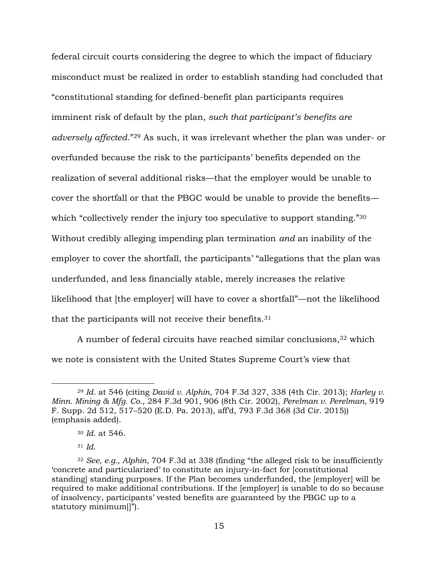federal circuit courts considering the degree to which the impact of fiduciary misconduct must be realized in order to establish standing had concluded that "constitutional standing for defined-benefit plan participants requires imminent risk of default by the plan, *such that participant's benefits are adversely affected*."<sup>29</sup> As such, it was irrelevant whether the plan was under- or overfunded because the risk to the participants' benefits depended on the realization of several additional risks—that the employer would be unable to cover the shortfall or that the PBGC would be unable to provide the benefits which "collectively render the injury too speculative to support standing."<sup>30</sup> Without credibly alleging impending plan termination *and* an inability of the employer to cover the shortfall, the participants' "allegations that the plan was underfunded, and less financially stable, merely increases the relative likelihood that [the employer] will have to cover a shortfall"—not the likelihood that the participants will not receive their benefits.<sup>31</sup>

A number of federal circuits have reached similar conclusions,<sup>32</sup> which we note is consistent with the United States Supreme Court's view that

<sup>29</sup> *Id*. at 546 (citing *David v. Alphin*, 704 F.3d 327, 338 (4th Cir. 2013); *Harley v. Minn. Mining & Mfg. Co.*, 284 F.3d 901, 906 (8th Cir. 2002), *Perelman v. Perelman*, 919 F. Supp. 2d 512, 517–520 (E.D. Pa. 2013), aff'd, 793 F.3d 368 (3d Cir. 2015)) (emphasis added).

<sup>30</sup> *Id*. at 546.

<sup>31</sup> *Id*.

<sup>32</sup> *See, e.g., Alphin*, 704 F.3d at 338 (finding "the alleged risk to be insufficiently 'concrete and particularized' to constitute an injury-in-fact for [constitutional standing] standing purposes. If the Plan becomes underfunded, the [employer] will be required to make additional contributions. If the [employer] is unable to do so because of insolvency, participants' vested benefits are guaranteed by the PBGC up to a statutory minimum[]").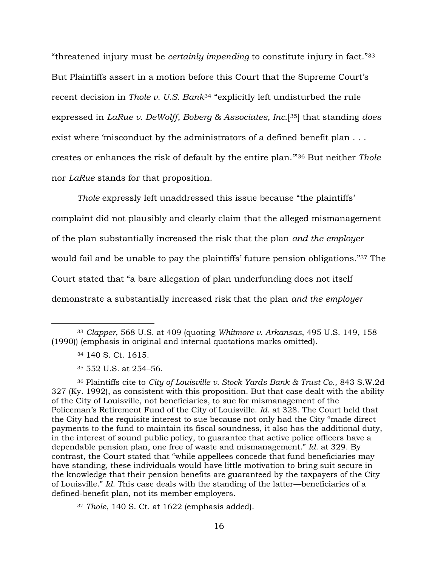"threatened injury must be *certainly impending* to constitute injury in fact."<sup>33</sup> But Plaintiffs assert in a motion before this Court that the Supreme Court's recent decision in *Thole v. U.S. Bank*<sup>34</sup> "explicitly left undisturbed the rule expressed in *LaRue v. DeWolff, Boberg & Associates, Inc.*[ <sup>35</sup>] that standing *does* exist where 'misconduct by the administrators of a defined benefit plan . . . creates or enhances the risk of default by the entire plan.'"<sup>36</sup> But neither *Thole* nor *LaRue* stands for that proposition.

*Thole* expressly left unaddressed this issue because "the plaintiffs' complaint did not plausibly and clearly claim that the alleged mismanagement of the plan substantially increased the risk that the plan *and the employer* would fail and be unable to pay the plaintiffs' future pension obligations."<sup>37</sup> The Court stated that "a bare allegation of plan underfunding does not itself demonstrate a substantially increased risk that the plan *and the employer* 

 $\overline{a}$ 

<sup>36</sup> Plaintiffs cite to *City of Louisville v. Stock Yards Bank & Trust Co.,* 843 S.W.2d 327 (Ky. 1992), as consistent with this proposition. But that case dealt with the ability of the City of Louisville, not beneficiaries, to sue for mismanagement of the Policeman's Retirement Fund of the City of Louisville. *Id*. at 328. The Court held that the City had the requisite interest to sue because not only had the City "made direct payments to the fund to maintain its fiscal soundness, it also has the additional duty, in the interest of sound public policy, to guarantee that active police officers have a dependable pension plan, one free of waste and mismanagement." *Id*. at 329. By contrast, the Court stated that "while appellees concede that fund beneficiaries may have standing, these individuals would have little motivation to bring suit secure in the knowledge that their pension benefits are guaranteed by the taxpayers of the City of Louisville." *Id*. This case deals with the standing of the latter—beneficiaries of a defined-benefit plan, not its member employers.

<sup>37</sup> *Thole*, 140 S. Ct. at 1622 (emphasis added).

<sup>33</sup> *Clapper*, 568 U.S. at 409 (quoting *Whitmore v. Arkansas*, 495 U.S. 149, 158 (1990)) (emphasis in original and internal quotations marks omitted).

<sup>34</sup> 140 S. Ct. 1615.

<sup>35</sup> 552 U.S. at 254–56.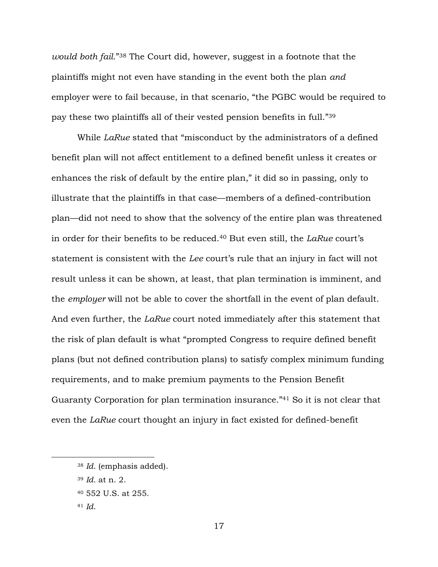*would both fail*." <sup>38</sup> The Court did, however, suggest in a footnote that the plaintiffs might not even have standing in the event both the plan *and* employer were to fail because, in that scenario, "the PGBC would be required to pay these two plaintiffs all of their vested pension benefits in full."<sup>39</sup>

While *LaRue* stated that "misconduct by the administrators of a defined benefit plan will not affect entitlement to a defined benefit unless it creates or enhances the risk of default by the entire plan," it did so in passing, only to illustrate that the plaintiffs in that case—members of a defined-contribution plan—did not need to show that the solvency of the entire plan was threatened in order for their benefits to be reduced.<sup>40</sup> But even still, the *LaRue* court's statement is consistent with the *Lee* court's rule that an injury in fact will not result unless it can be shown, at least, that plan termination is imminent, and the *employer* will not be able to cover the shortfall in the event of plan default. And even further, the *LaRue* court noted immediately after this statement that the risk of plan default is what "prompted Congress to require defined benefit plans (but not defined contribution plans) to satisfy complex minimum funding requirements, and to make premium payments to the Pension Benefit Guaranty Corporation for plan termination insurance." <sup>41</sup> So it is not clear that even the *LaRue* court thought an injury in fact existed for defined-benefit

<sup>38</sup> *Id*. (emphasis added).

<sup>39</sup> *Id*. at n. 2.

<sup>40</sup> 552 U.S. at 255.

<sup>41</sup> *Id*.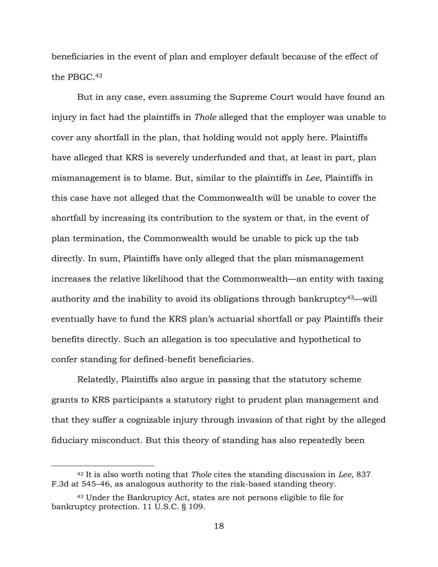beneficiaries in the event of plan and employer default because of the effect of the PBGC.<sup>42</sup>

But in any case, even assuming the Supreme Court would have found an injury in fact had the plaintiffs in *Thole* alleged that the employer was unable to cover any shortfall in the plan, that holding would not apply here. Plaintiffs have alleged that KRS is severely underfunded and that, at least in part, plan mismanagement is to blame. But, similar to the plaintiffs in *Lee*, Plaintiffs in this case have not alleged that the Commonwealth will be unable to cover the shortfall by increasing its contribution to the system or that, in the event of plan termination, the Commonwealth would be unable to pick up the tab directly. In sum, Plaintiffs have only alleged that the plan mismanagement increases the relative likelihood that the Commonwealth—an entity with taxing authority and the inability to avoid its obligations through bankruptcy<sup>43</sup>—will eventually have to fund the KRS plan's actuarial shortfall or pay Plaintiffs their benefits directly. Such an allegation is too speculative and hypothetical to confer standing for defined-benefit beneficiaries.

Relatedly, Plaintiffs also argue in passing that the statutory scheme grants to KRS participants a statutory right to prudent plan management and that they suffer a cognizable injury through invasion of that right by the alleged fiduciary misconduct. But this theory of standing has also repeatedly been

<sup>42</sup> It is also worth noting that *Thole* cites the standing discussion in *Lee*, 837 F.3d at 545–46, as analogous authority to the risk-based standing theory.

<sup>43</sup> Under the Bankruptcy Act, states are not persons eligible to file for bankruptcy protection. 11 U.S.C. § 109.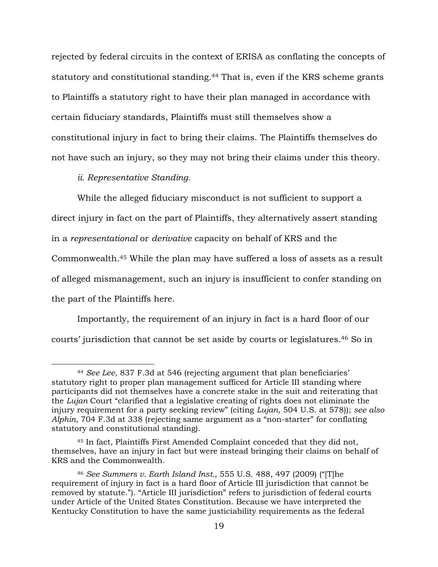rejected by federal circuits in the context of ERISA as conflating the concepts of statutory and constitutional standing.<sup>44</sup> That is, even if the KRS scheme grants to Plaintiffs a statutory right to have their plan managed in accordance with certain fiduciary standards, Plaintiffs must still themselves show a constitutional injury in fact to bring their claims. The Plaintiffs themselves do not have such an injury, so they may not bring their claims under this theory.

*ii. Representative Standing.*

 $\overline{a}$ 

While the alleged fiduciary misconduct is not sufficient to support a direct injury in fact on the part of Plaintiffs, they alternatively assert standing in a *representational* or *derivative* capacity on behalf of KRS and the Commonwealth.<sup>45</sup> While the plan may have suffered a loss of assets as a result of alleged mismanagement, such an injury is insufficient to confer standing on the part of the Plaintiffs here.

Importantly, the requirement of an injury in fact is a hard floor of our courts' jurisdiction that cannot be set aside by courts or legislatures.<sup>46</sup> So in

<sup>44</sup> *See Lee*, 837 F.3d at 546 (rejecting argument that plan beneficiaries' statutory right to proper plan management sufficed for Article III standing where participants did not themselves have a concrete stake in the suit and reiterating that the *Lujan* Court "clarified that a legislative creating of rights does not eliminate the injury requirement for a party seeking review" (citing *Lujan*, 504 U.S. at 578)); *see also Alphin*, 704 F.3d at 338 (rejecting same argument as a "non-starter" for conflating statutory and constitutional standing).

<sup>45</sup> In fact, Plaintiffs First Amended Complaint conceded that they did not, themselves, have an injury in fact but were instead bringing their claims on behalf of KRS and the Commonwealth.

<sup>46</sup> *See Summers v. Earth Island Inst.*, 555 U.S. 488, 497 (2009) ("[T]he requirement of injury in fact is a hard floor of Article III jurisdiction that cannot be removed by statute."). "Article III jurisdiction" refers to jurisdiction of federal courts under Article of the United States Constitution. Because we have interpreted the Kentucky Constitution to have the same justiciability requirements as the federal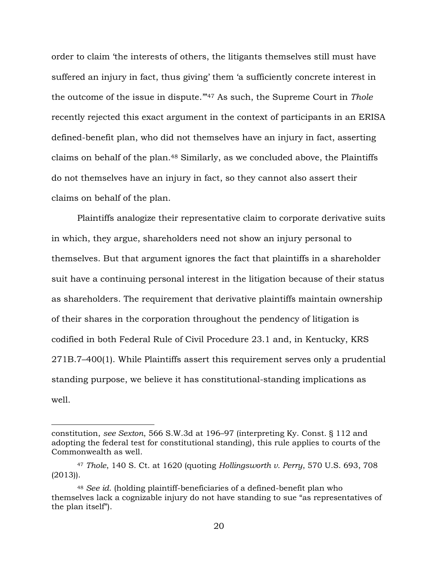order to claim 'the interests of others, the litigants themselves still must have suffered an injury in fact, thus giving' them 'a sufficiently concrete interest in the outcome of the issue in dispute.'"<sup>47</sup> As such, the Supreme Court in *Thole* recently rejected this exact argument in the context of participants in an ERISA defined-benefit plan, who did not themselves have an injury in fact, asserting claims on behalf of the plan.<sup>48</sup> Similarly, as we concluded above, the Plaintiffs do not themselves have an injury in fact, so they cannot also assert their claims on behalf of the plan.

Plaintiffs analogize their representative claim to corporate derivative suits in which, they argue, shareholders need not show an injury personal to themselves. But that argument ignores the fact that plaintiffs in a shareholder suit have a continuing personal interest in the litigation because of their status as shareholders. The requirement that derivative plaintiffs maintain ownership of their shares in the corporation throughout the pendency of litigation is codified in both Federal Rule of Civil Procedure 23.1 and, in Kentucky, KRS 271B.7–400(1). While Plaintiffs assert this requirement serves only a prudential standing purpose, we believe it has constitutional-standing implications as well.

constitution, *see Sexton*, 566 S.W.3d at 196–97 (interpreting Ky. Const. § 112 and adopting the federal test for constitutional standing), this rule applies to courts of the Commonwealth as well.

<sup>47</sup> *Thole*, 140 S. Ct. at 1620 (quoting *Hollingsworth v. Perry*, 570 U.S. 693, 708 (2013)).

<sup>48</sup> *See id*. (holding plaintiff-beneficiaries of a defined-benefit plan who themselves lack a cognizable injury do not have standing to sue "as representatives of the plan itself").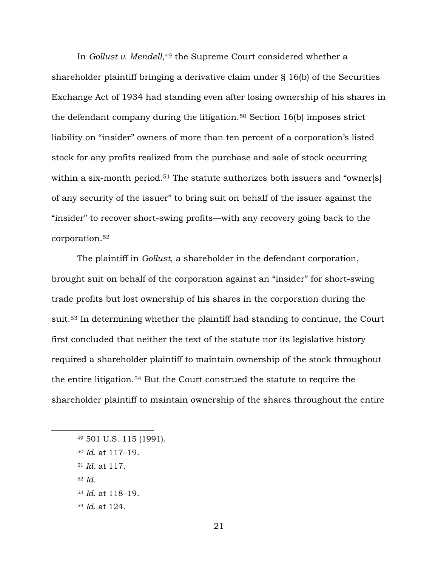In *Gollust v. Mendell*, <sup>49</sup> the Supreme Court considered whether a shareholder plaintiff bringing a derivative claim under § 16(b) of the Securities Exchange Act of 1934 had standing even after losing ownership of his shares in the defendant company during the litigation.<sup>50</sup> Section 16(b) imposes strict liability on "insider" owners of more than ten percent of a corporation's listed stock for any profits realized from the purchase and sale of stock occurring within a six-month period.<sup>51</sup> The statute authorizes both issuers and "owner[s] of any security of the issuer" to bring suit on behalf of the issuer against the "insider" to recover short-swing profits—with any recovery going back to the corporation.<sup>52</sup>

The plaintiff in *Gollust*, a shareholder in the defendant corporation, brought suit on behalf of the corporation against an "insider" for short-swing trade profits but lost ownership of his shares in the corporation during the suit.<sup>53</sup> In determining whether the plaintiff had standing to continue, the Court first concluded that neither the text of the statute nor its legislative history required a shareholder plaintiff to maintain ownership of the stock throughout the entire litigation.<sup>54</sup> But the Court construed the statute to require the shareholder plaintiff to maintain ownership of the shares throughout the entire

<sup>52</sup> *Id.*

<sup>49</sup> 501 U.S. 115 (1991).

<sup>50</sup> *Id*. at 117–19.

<sup>51</sup> *Id*. at 117.

<sup>53</sup> *Id*. at 118–19.

<sup>54</sup> *Id*. at 124.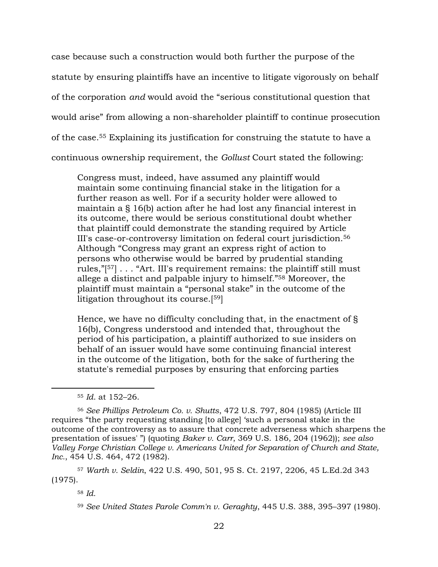case because such a construction would both further the purpose of the statute by ensuring plaintiffs have an incentive to litigate vigorously on behalf of the corporation *and* would avoid the "serious constitutional question that would arise" from allowing a non-shareholder plaintiff to continue prosecution of the case.<sup>55</sup> Explaining its justification for construing the statute to have a continuous ownership requirement, the *Gollust* Court stated the following:

Congress must, indeed, have assumed any plaintiff would maintain some continuing financial stake in the litigation for a further reason as well. For if a security holder were allowed to maintain a § 16(b) action after he had lost any financial interest in its outcome, there would be serious constitutional doubt whether that plaintiff could demonstrate the standing required by Article III's case-or-controversy limitation on federal court jurisdiction.<sup>56</sup> Although "Congress may grant an express right of action to persons who otherwise would be barred by prudential standing rules,"[ <sup>57</sup>] . . . "Art. III's requirement remains: the plaintiff still must allege a distinct and palpable injury to himself."<sup>58</sup> Moreover, the plaintiff must maintain a "personal stake" in the outcome of the litigation throughout its course.[ <sup>59</sup>]

Hence, we have no difficulty concluding that, in the enactment of § 16(b), Congress understood and intended that, throughout the period of his participation, a plaintiff authorized to sue insiders on behalf of an issuer would have some continuing financial interest in the outcome of the litigation, both for the sake of furthering the statute's remedial purposes by ensuring that enforcing parties

<sup>57</sup> *Warth v. Seldin*, 422 U.S. 490, 501, 95 S. Ct. 2197, 2206, 45 L.Ed.2d 343 (1975).

<sup>55</sup> *Id*. at 152–26.

<sup>56</sup> *See Phillips Petroleum Co. v. Shutts*, 472 U.S. 797, 804 (1985) (Article III requires "the party requesting standing [to allege] 'such a personal stake in the outcome of the controversy as to assure that concrete adverseness which sharpens the presentation of issues' ") (quoting *Baker v. Carr*, 369 U.S. 186, 204 (1962)); *see also Valley Forge Christian College v. Americans United for Separation of Church and State, Inc.*, 454 U.S. 464, 472 (1982).

<sup>58</sup> *Id.*

<sup>59</sup> *See United States Parole Comm'n v. Geraghty*, 445 U.S. 388, 395–397 (1980).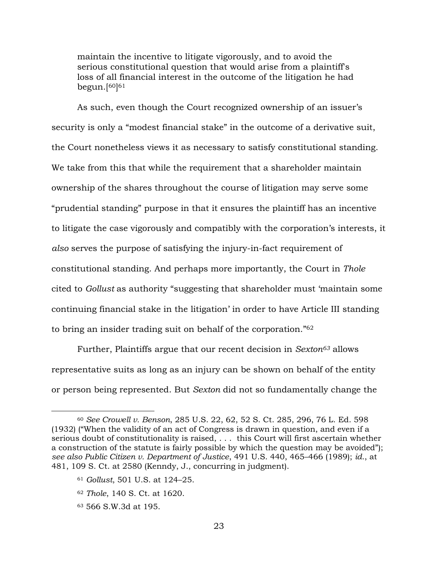maintain the incentive to litigate vigorously, and to avoid the serious constitutional question that would arise from a plaintiff's loss of all financial interest in the outcome of the litigation he had begun.<sup>[60]61</sup>

As such, even though the Court recognized ownership of an issuer's security is only a "modest financial stake" in the outcome of a derivative suit, the Court nonetheless views it as necessary to satisfy constitutional standing. We take from this that while the requirement that a shareholder maintain ownership of the shares throughout the course of litigation may serve some "prudential standing" purpose in that it ensures the plaintiff has an incentive to litigate the case vigorously and compatibly with the corporation's interests, it *also* serves the purpose of satisfying the injury-in-fact requirement of constitutional standing. And perhaps more importantly, the Court in *Thole* cited to *Gollust* as authority "suggesting that shareholder must 'maintain some continuing financial stake in the litigation' in order to have Article III standing to bring an insider trading suit on behalf of the corporation."<sup>62</sup>

Further, Plaintiffs argue that our recent decision in *Sexton<sup>63</sup>* allows representative suits as long as an injury can be shown on behalf of the entity or person being represented. But *Sexton* did not so fundamentally change the

<sup>60</sup> *See Crowell v. Benson*, 285 U.S. 22, 62, 52 S. Ct. 285, 296, 76 L. Ed. 598 (1932) ("When the validity of an act of Congress is drawn in question, and even if a serious doubt of constitutionality is raised, . . . this Court will first ascertain whether a construction of the statute is fairly possible by which the question may be avoided"); *see also Public Citizen v. Department of Justice*, 491 U.S. 440, 465–466 (1989); *id*., at 481, 109 S. Ct. at 2580 (Kenndy, J., concurring in judgment).

<sup>61</sup> *Gollust*, 501 U.S. at 124–25.

<sup>62</sup> *Thole*, 140 S. Ct. at 1620.

<sup>63</sup> 566 S.W.3d at 195.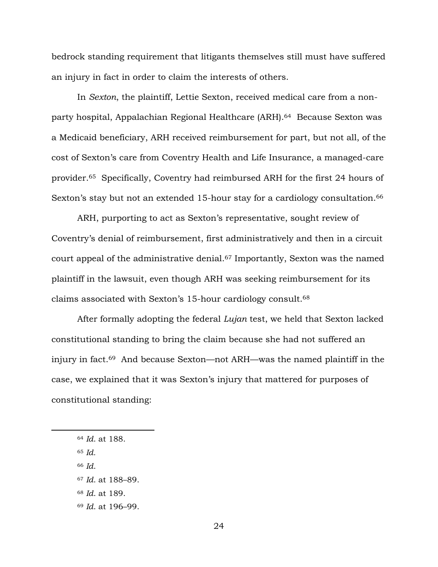bedrock standing requirement that litigants themselves still must have suffered an injury in fact in order to claim the interests of others.

In *Sexton*, the plaintiff, Lettie Sexton, received medical care from a nonparty hospital, Appalachian Regional Healthcare (ARH).64 Because Sexton was a Medicaid beneficiary, ARH received reimbursement for part, but not all, of the cost of Sexton's care from Coventry Health and Life Insurance, a managed-care provider. <sup>65</sup> Specifically, Coventry had reimbursed ARH for the first 24 hours of Sexton's stay but not an extended 15-hour stay for a cardiology consultation.<sup>66</sup>

ARH, purporting to act as Sexton's representative, sought review of Coventry's denial of reimbursement, first administratively and then in a circuit court appeal of the administrative denial. <sup>67</sup> Importantly, Sexton was the named plaintiff in the lawsuit, even though ARH was seeking reimbursement for its claims associated with Sexton's 15-hour cardiology consult.<sup>68</sup>

After formally adopting the federal *Lujan* test, we held that Sexton lacked constitutional standing to bring the claim because she had not suffered an injury in fact.69 And because Sexton—not ARH—was the named plaintiff in the case, we explained that it was Sexton's injury that mattered for purposes of constitutional standing:

<sup>64</sup> *Id*. at 188.

<sup>65</sup> *Id.*

<sup>66</sup> *Id*.

<sup>67</sup> *Id*. at 188–89.

<sup>68</sup> *Id*. at 189.

<sup>69</sup> *Id*. at 196–99.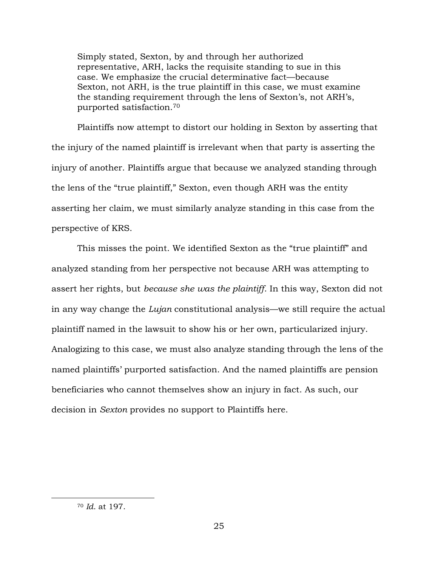Simply stated, Sexton, by and through her authorized representative, ARH, lacks the requisite standing to sue in this case. We emphasize the crucial determinative fact—because Sexton, not ARH, is the true plaintiff in this case, we must examine the standing requirement through the lens of Sexton's, not ARH's, purported satisfaction.<sup>70</sup>

Plaintiffs now attempt to distort our holding in Sexton by asserting that the injury of the named plaintiff is irrelevant when that party is asserting the injury of another. Plaintiffs argue that because we analyzed standing through the lens of the "true plaintiff," Sexton, even though ARH was the entity asserting her claim, we must similarly analyze standing in this case from the perspective of KRS.

This misses the point. We identified Sexton as the "true plaintiff" and analyzed standing from her perspective not because ARH was attempting to assert her rights, but *because she was the plaintiff*. In this way, Sexton did not in any way change the *Lujan* constitutional analysis—we still require the actual plaintiff named in the lawsuit to show his or her own, particularized injury. Analogizing to this case, we must also analyze standing through the lens of the named plaintiffs' purported satisfaction. And the named plaintiffs are pension beneficiaries who cannot themselves show an injury in fact. As such, our decision in *Sexton* provides no support to Plaintiffs here.

<sup>70</sup> *Id*. at 197.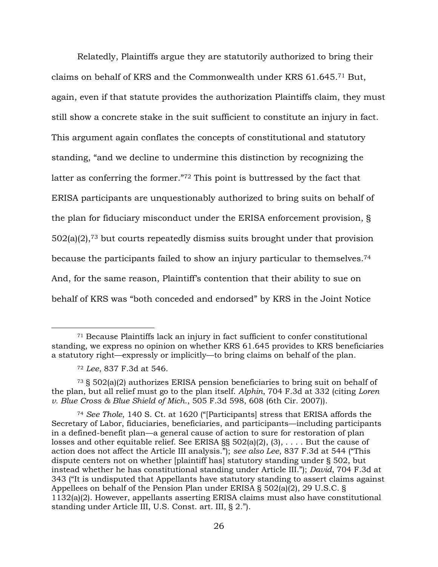Relatedly, Plaintiffs argue they are statutorily authorized to bring their claims on behalf of KRS and the Commonwealth under KRS 61.645.<sup>71</sup> But, again, even if that statute provides the authorization Plaintiffs claim, they must still show a concrete stake in the suit sufficient to constitute an injury in fact. This argument again conflates the concepts of constitutional and statutory standing, "and we decline to undermine this distinction by recognizing the latter as conferring the former."<sup>72</sup> This point is buttressed by the fact that ERISA participants are unquestionably authorized to bring suits on behalf of the plan for fiduciary misconduct under the ERISA enforcement provision, § 502(a)(2),<sup>73</sup> but courts repeatedly dismiss suits brought under that provision because the participants failed to show an injury particular to themselves.<sup>74</sup> And, for the same reason, Plaintiff's contention that their ability to sue on behalf of KRS was "both conceded and endorsed" by KRS in the Joint Notice

<sup>71</sup> Because Plaintiffs lack an injury in fact sufficient to confer constitutional standing, we express no opinion on whether KRS 61.645 provides to KRS beneficiaries a statutory right—expressly or implicitly—to bring claims on behalf of the plan.

<sup>72</sup> *Lee*, 837 F.3d at 546.

<sup>73</sup> § 502(a)(2) authorizes ERISA pension beneficiaries to bring suit on behalf of the plan, but all relief must go to the plan itself. *Alphin*, 704 F.3d at 332 (citing *Loren v. Blue Cross & Blue Shield of Mich*., 505 F.3d 598, 608 (6th Cir. 2007)).

<sup>74</sup> *See Thole*, 140 S. Ct. at 1620 ("[Participants] stress that ERISA affords the Secretary of Labor, fiduciaries, beneficiaries, and participants—including participants in a defined-benefit plan—a general cause of action to sure for restoration of plan losses and other equitable relief. See ERISA §§ 502(a)(2), (3), . . . . But the cause of action does not affect the Article III analysis."); *see also Lee*, 837 F.3d at 544 ("This dispute centers not on whether [plaintiff has] statutory standing under § 502, but instead whether he has constitutional standing under Article III."); *David*, 704 F.3d at 343 ("It is undisputed that Appellants have statutory standing to assert claims against Appellees on behalf of the Pension Plan under ERISA § 502(a)(2), 29 U.S.C. § 1132(a)(2). However, appellants asserting ERISA claims must also have constitutional standing under Article III, U.S. Const. art. III, § 2.").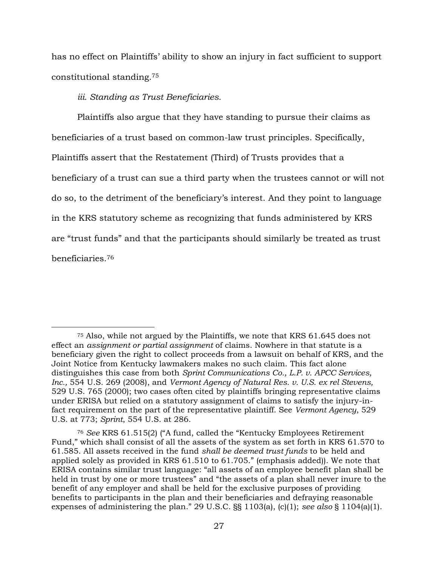has no effect on Plaintiffs' ability to show an injury in fact sufficient to support constitutional standing.<sup>75</sup>

*iii. Standing as Trust Beneficiaries.*

 $\overline{a}$ 

Plaintiffs also argue that they have standing to pursue their claims as beneficiaries of a trust based on common-law trust principles. Specifically, Plaintiffs assert that the Restatement (Third) of Trusts provides that a beneficiary of a trust can sue a third party when the trustees cannot or will not do so, to the detriment of the beneficiary's interest. And they point to language in the KRS statutory scheme as recognizing that funds administered by KRS are "trust funds" and that the participants should similarly be treated as trust beneficiaries.<sup>76</sup>

<sup>75</sup> Also, while not argued by the Plaintiffs, we note that KRS 61.645 does not effect an *assignment or partial assignment* of claims. Nowhere in that statute is a beneficiary given the right to collect proceeds from a lawsuit on behalf of KRS, and the Joint Notice from Kentucky lawmakers makes no such claim. This fact alone distinguishes this case from both *Sprint Communications Co., L.P. v. APCC Services, Inc.,* 554 U.S. 269 (2008), and *Vermont Agency of Natural Res. v. U.S. ex rel Stevens,*  529 U.S. 765 (2000); two cases often cited by plaintiffs bringing representative claims under ERISA but relied on a statutory assignment of claims to satisfy the injury-infact requirement on the part of the representative plaintiff. See *Vermont Agency*, 529 U.S. at 773; *Sprint*, 554 U.S. at 286.

<sup>76</sup> *See* KRS 61.515(2) ("A fund, called the "Kentucky Employees Retirement Fund," which shall consist of all the assets of the system as set forth in KRS 61.570 to 61.585. All assets received in the fund *shall be deemed trust funds* to be held and applied solely as provided in KRS 61.510 to 61.705." (emphasis added)). We note that ERISA contains similar trust language: "all assets of an employee benefit plan shall be held in trust by one or more trustees" and "the assets of a plan shall never inure to the benefit of any employer and shall be held for the exclusive purposes of providing benefits to participants in the plan and their beneficiaries and defraying reasonable expenses of administering the plan." 29 U.S.C. §§ 1103(a), (c)(1); *see also* § 1104(a)(1).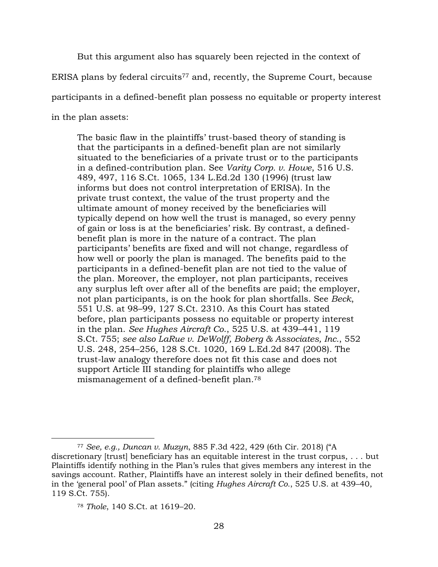But this argument also has squarely been rejected in the context of ERISA plans by federal circuits<sup>77</sup> and, recently, the Supreme Court, because participants in a defined-benefit plan possess no equitable or property interest in the plan assets:

The basic flaw in the plaintiffs' trust-based theory of standing is that the participants in a defined-benefit plan are not similarly situated to the beneficiaries of a private trust or to the participants in a defined-contribution plan. See *Varity Corp. v. Howe*, 516 U.S. 489, 497, 116 S.Ct. 1065, 134 L.Ed.2d 130 (1996) (trust law informs but does not control interpretation of ERISA). In the private trust context, the value of the trust property and the ultimate amount of money received by the beneficiaries will typically depend on how well the trust is managed, so every penny of gain or loss is at the beneficiaries' risk. By contrast, a definedbenefit plan is more in the nature of a contract. The plan participants' benefits are fixed and will not change, regardless of how well or poorly the plan is managed. The benefits paid to the participants in a defined-benefit plan are not tied to the value of the plan. Moreover, the employer, not plan participants, receives any surplus left over after all of the benefits are paid; the employer, not plan participants, is on the hook for plan shortfalls. See *Beck*, 551 U.S. at 98–99, 127 S.Ct. 2310. As this Court has stated before, plan participants possess no equitable or property interest in the plan. *See Hughes Aircraft Co*., 525 U.S. at 439–441, 119 S.Ct. 755; *see also LaRue v. DeWolff, Boberg & Associates, Inc.*, 552 U.S. 248, 254–256, 128 S.Ct. 1020, 169 L.Ed.2d 847 (2008). The trust-law analogy therefore does not fit this case and does not support Article III standing for plaintiffs who allege mismanagement of a defined-benefit plan.<sup>78</sup>

<sup>77</sup> *See, e.g., Duncan v. Muzyn*, 885 F.3d 422, 429 (6th Cir. 2018) ("A discretionary [trust] beneficiary has an equitable interest in the trust corpus, . . . but Plaintiffs identify nothing in the Plan's rules that gives members any interest in the savings account. Rather, Plaintiffs have an interest solely in their defined benefits, not in the 'general pool' of Plan assets." (citing *Hughes Aircraft Co.*, 525 U.S. at 439–40, 119 S.Ct. 755).

<sup>78</sup> *Thole*, 140 S.Ct. at 1619–20.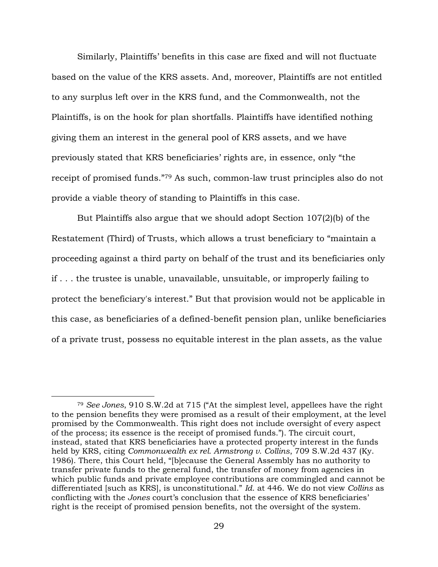Similarly, Plaintiffs' benefits in this case are fixed and will not fluctuate based on the value of the KRS assets. And, moreover, Plaintiffs are not entitled to any surplus left over in the KRS fund, and the Commonwealth, not the Plaintiffs, is on the hook for plan shortfalls. Plaintiffs have identified nothing giving them an interest in the general pool of KRS assets, and we have previously stated that KRS beneficiaries' rights are, in essence, only "the receipt of promised funds."<sup>79</sup> As such, common-law trust principles also do not provide a viable theory of standing to Plaintiffs in this case.

But Plaintiffs also argue that we should adopt Section 107(2)(b) of the Restatement (Third) of Trusts, which allows a trust beneficiary to "maintain a proceeding against a third party on behalf of the trust and its beneficiaries only if . . . the trustee is unable, unavailable, unsuitable, or improperly failing to protect the beneficiary's interest." But that provision would not be applicable in this case, as beneficiaries of a defined-benefit pension plan, unlike beneficiaries of a private trust, possess no equitable interest in the plan assets, as the value

<sup>79</sup> *See Jones*, 910 S.W.2d at 715 ("At the simplest level, appellees have the right to the pension benefits they were promised as a result of their employment, at the level promised by the Commonwealth. This right does not include oversight of every aspect of the process; its essence is the receipt of promised funds."). The circuit court, instead, stated that KRS beneficiaries have a protected property interest in the funds held by KRS, citing *Commonwealth ex rel. Armstrong v. Collins*, 709 S.W.2d 437 (Ky. 1986). There, this Court held, "[b]ecause the General Assembly has no authority to transfer private funds to the general fund, the transfer of money from agencies in which public funds and private employee contributions are commingled and cannot be differentiated [such as KRS], is unconstitutional." *Id*. at 446. We do not view *Collins* as conflicting with the *Jones* court's conclusion that the essence of KRS beneficiaries' right is the receipt of promised pension benefits, not the oversight of the system.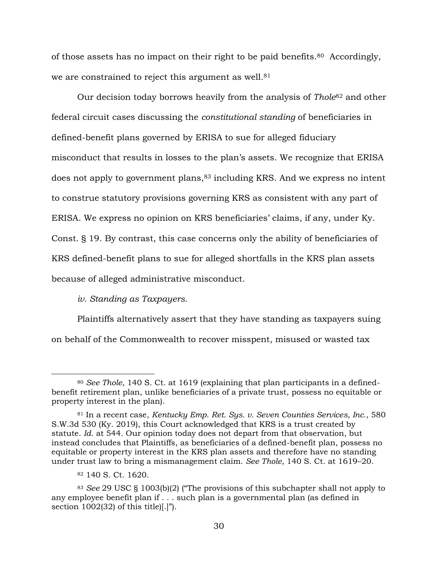of those assets has no impact on their right to be paid benefits.80 Accordingly, we are constrained to reject this argument as well.<sup>81</sup>

Our decision today borrows heavily from the analysis of *Thole*<sup>82</sup> and other federal circuit cases discussing the *constitutional standing* of beneficiaries in defined-benefit plans governed by ERISA to sue for alleged fiduciary misconduct that results in losses to the plan's assets. We recognize that ERISA does not apply to government plans,<sup>83</sup> including KRS. And we express no intent to construe statutory provisions governing KRS as consistent with any part of ERISA. We express no opinion on KRS beneficiaries' claims, if any, under Ky. Const. § 19. By contrast, this case concerns only the ability of beneficiaries of KRS defined-benefit plans to sue for alleged shortfalls in the KRS plan assets because of alleged administrative misconduct.

# *iv. Standing as Taxpayers.*

Plaintiffs alternatively assert that they have standing as taxpayers suing on behalf of the Commonwealth to recover misspent, misused or wasted tax

<sup>80</sup> *See Thole*, 140 S. Ct. at 1619 (explaining that plan participants in a definedbenefit retirement plan, unlike beneficiaries of a private trust, possess no equitable or property interest in the plan).

<sup>81</sup> In a recent case, *Kentucky Emp. Ret. Sys. v. Seven Counties Services, Inc.*, 580 S.W.3d 530 (Ky. 2019), this Court acknowledged that KRS is a trust created by statute. *Id*. at 544. Our opinion today does not depart from that observation, but instead concludes that Plaintiffs, as beneficiaries of a defined-benefit plan, possess no equitable or property interest in the KRS plan assets and therefore have no standing under trust law to bring a mismanagement claim. *See Thole*, 140 S. Ct. at 1619–20.

<sup>82</sup> 140 S. Ct. 1620.

<sup>83</sup> *See* 29 USC § 1003(b)(2) ("The provisions of this subchapter shall not apply to any employee benefit plan if . . . such plan is a governmental plan (as defined in section 1002(32) of this title)[.]").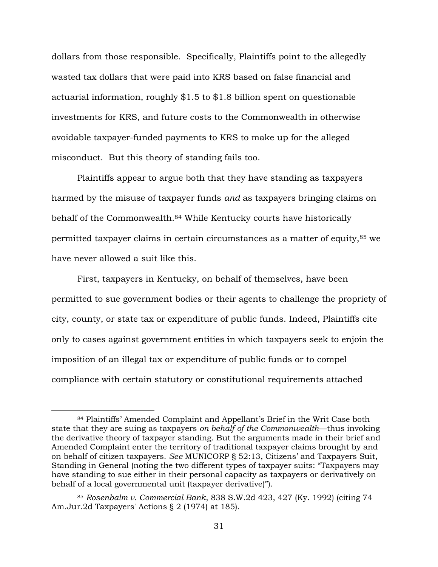dollars from those responsible. Specifically, Plaintiffs point to the allegedly wasted tax dollars that were paid into KRS based on false financial and actuarial information, roughly \$1.5 to \$1.8 billion spent on questionable investments for KRS, and future costs to the Commonwealth in otherwise avoidable taxpayer-funded payments to KRS to make up for the alleged misconduct. But this theory of standing fails too.

Plaintiffs appear to argue both that they have standing as taxpayers harmed by the misuse of taxpayer funds *and* as taxpayers bringing claims on behalf of the Commonwealth.<sup>84</sup> While Kentucky courts have historically permitted taxpayer claims in certain circumstances as a matter of equity,<sup>85</sup> we have never allowed a suit like this.

First, taxpayers in Kentucky, on behalf of themselves, have been permitted to sue government bodies or their agents to challenge the propriety of city, county, or state tax or expenditure of public funds. Indeed, Plaintiffs cite only to cases against government entities in which taxpayers seek to enjoin the imposition of an illegal tax or expenditure of public funds or to compel compliance with certain statutory or constitutional requirements attached

<sup>84</sup> Plaintiffs' Amended Complaint and Appellant's Brief in the Writ Case both state that they are suing as taxpayers *on behalf of the Commonwealth*—thus invoking the derivative theory of taxpayer standing. But the arguments made in their brief and Amended Complaint enter the territory of traditional taxpayer claims brought by and on behalf of citizen taxpayers. *See* MUNICORP § 52:13, Citizens' and Taxpayers Suit, Standing in General (noting the two different types of taxpayer suits: "Taxpayers may have standing to sue either in their personal capacity as taxpayers or derivatively on behalf of a local governmental unit (taxpayer derivative)").

<sup>85</sup> *Rosenbalm v. Commercial Bank*, 838 S.W.2d 423, 427 (Ky. 1992) (citing 74 Am.Jur.2d Taxpayers' Actions § 2 (1974) at 185).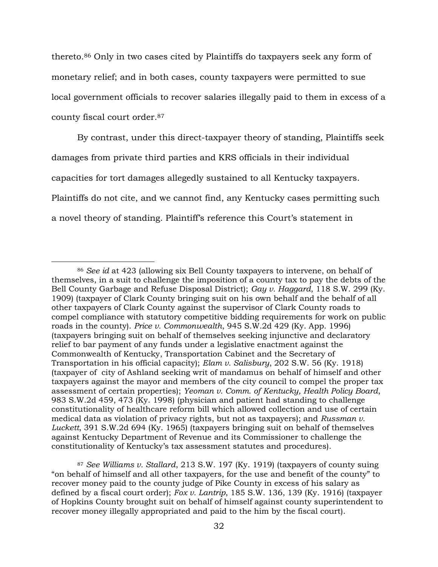thereto.<sup>86</sup> Only in two cases cited by Plaintiffs do taxpayers seek any form of monetary relief; and in both cases, county taxpayers were permitted to sue local government officials to recover salaries illegally paid to them in excess of a county fiscal court order.<sup>87</sup>

By contrast, under this direct-taxpayer theory of standing, Plaintiffs seek damages from private third parties and KRS officials in their individual capacities for tort damages allegedly sustained to all Kentucky taxpayers. Plaintiffs do not cite, and we cannot find, any Kentucky cases permitting such a novel theory of standing. Plaintiff's reference this Court's statement in

<sup>86</sup> *See id* at 423 (allowing six Bell County taxpayers to intervene, on behalf of themselves, in a suit to challenge the imposition of a county tax to pay the debts of the Bell County Garbage and Refuse Disposal District); *Gay v. Haggard*, 118 S.W. 299 (Ky. 1909) (taxpayer of Clark County bringing suit on his own behalf and the behalf of all other taxpayers of Clark County against the supervisor of Clark County roads to compel compliance with statutory competitive bidding requirements for work on public roads in the county). *Price v. Commonwealth*, 945 S.W.2d 429 (Ky. App. 1996) (taxpayers bringing suit on behalf of themselves seeking injunctive and declaratory relief to bar payment of any funds under a legislative enactment against the Commonwealth of Kentucky, Transportation Cabinet and the Secretary of Transportation in his official capacity); *Elam v. Salisbury*, 202 S.W. 56 (Ky. 1918) (taxpayer of city of Ashland seeking writ of mandamus on behalf of himself and other taxpayers against the mayor and members of the city council to compel the proper tax assessment of certain properties); *Yeoman v. Comm. of Kentucky, Health Policy Board*, 983 S.W.2d 459, 473 (Ky. 1998) (physician and patient had standing to challenge constitutionality of healthcare reform bill which allowed collection and use of certain medical data as violation of privacy rights, but not as taxpayers); and *Russman v. Luckett*, 391 S.W.2d 694 (Ky. 1965) (taxpayers bringing suit on behalf of themselves against Kentucky Department of Revenue and its Commissioner to challenge the constitutionality of Kentucky's tax assessment statutes and procedures).

<sup>87</sup> *See Williams v. Stallard*, 213 S.W. 197 (Ky. 1919) (taxpayers of county suing "on behalf of himself and all other taxpayers, for the use and benefit of the county" to recover money paid to the county judge of Pike County in excess of his salary as defined by a fiscal court order); *Fox v. Lantrip*, 185 S.W. 136, 139 (Ky. 1916) (taxpayer of Hopkins County brought suit on behalf of himself against county superintendent to recover money illegally appropriated and paid to the him by the fiscal court).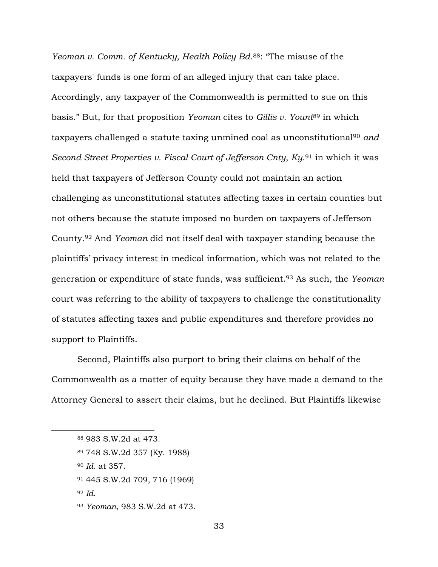*Yeoman v. Comm. of Kentucky, Health Policy Bd*. <sup>88</sup>: "The misuse of the taxpayers' funds is one form of an alleged injury that can take place. Accordingly, any taxpayer of the Commonwealth is permitted to sue on this basis." But, for that proposition *Yeoman* cites to *Gillis v. Yount*<sup>89</sup> in which taxpayers challenged a statute taxing unmined coal as unconstitutional<sup>90</sup> *and Second Street Properties v. Fiscal Court of Jefferson Cnty*, *Ky*. <sup>91</sup> in which it was held that taxpayers of Jefferson County could not maintain an action challenging as unconstitutional statutes affecting taxes in certain counties but not others because the statute imposed no burden on taxpayers of Jefferson County.<sup>92</sup> And *Yeoman* did not itself deal with taxpayer standing because the plaintiffs' privacy interest in medical information, which was not related to the generation or expenditure of state funds, was sufficient.<sup>93</sup> As such, the *Yeoman* court was referring to the ability of taxpayers to challenge the constitutionality of statutes affecting taxes and public expenditures and therefore provides no support to Plaintiffs.

Second, Plaintiffs also purport to bring their claims on behalf of the Commonwealth as a matter of equity because they have made a demand to the Attorney General to assert their claims, but he declined. But Plaintiffs likewise

<sup>90</sup> *Id*. at 357.

<sup>92</sup> *Id*.

<sup>88</sup> 983 S.W.2d at 473.

<sup>89</sup> 748 S.W.2d 357 (Ky. 1988)

<sup>91</sup> 445 S.W.2d 709, 716 (1969)

<sup>93</sup> *Yeoman*, 983 S.W.2d at 473.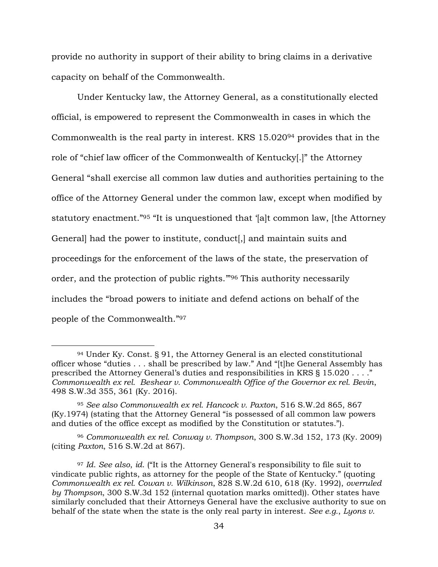provide no authority in support of their ability to bring claims in a derivative capacity on behalf of the Commonwealth.

Under Kentucky law, the Attorney General, as a constitutionally elected official, is empowered to represent the Commonwealth in cases in which the Commonwealth is the real party in interest. KRS 15.020<sup>94</sup> provides that in the role of "chief law officer of the Commonwealth of Kentucky[.]" the Attorney General "shall exercise all common law duties and authorities pertaining to the office of the Attorney General under the common law, except when modified by statutory enactment."<sup>95</sup> "It is unquestioned that '[a]t common law, [the Attorney General] had the power to institute, conduct[,] and maintain suits and proceedings for the enforcement of the laws of the state, the preservation of order, and the protection of public rights.'"<sup>96</sup> This authority necessarily includes the "broad powers to initiate and defend actions on behalf of the people of the Commonwealth."<sup>97</sup>

<sup>94</sup> Under Ky. Const. § 91, the Attorney General is an elected constitutional officer whose "duties . . . shall be prescribed by law." And "[t]he General Assembly has prescribed the Attorney General's duties and responsibilities in KRS § 15.020 . . . ." *Commonwealth ex rel. Beshear v. Commonwealth Office of the Governor ex rel. Bevin*, 498 S.W.3d 355, 361 (Ky. 2016).

<sup>95</sup> *See also Commonwealth ex rel. Hancock v. Paxton*, 516 S.W.2d 865, 867 (Ky.1974) (stating that the Attorney General "is possessed of all common law powers and duties of the office except as modified by the Constitution or statutes.").

<sup>96</sup> *Commonwealth ex rel. Conway v. Thompson*, 300 S.W.3d 152, 173 (Ky. 2009) (citing *Paxton*, 516 S.W.2d at 867).

<sup>97</sup> *Id*. *See also*, *id*. ("It is the Attorney General's responsibility to file suit to vindicate public rights, as attorney for the people of the State of Kentucky." (quoting *Commonwealth ex rel. Cowan v. Wilkinson*, 828 S.W.2d 610, 618 (Ky. 1992), *overruled by Thompson*, 300 S.W.3d 152 (internal quotation marks omitted)). Other states have similarly concluded that their Attorneys General have the exclusive authority to sue on behalf of the state when the state is the only real party in interest. *See e.g.*, *Lyons v.*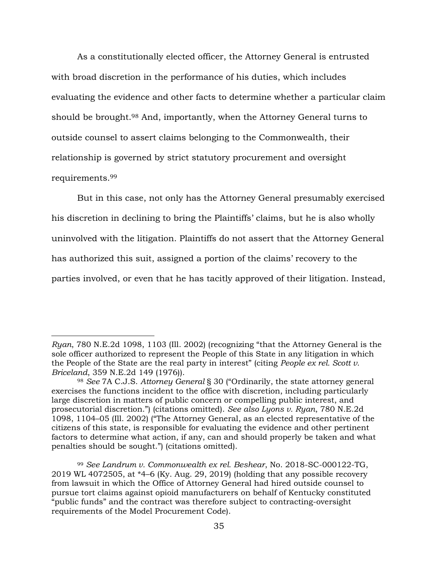As a constitutionally elected officer, the Attorney General is entrusted with broad discretion in the performance of his duties, which includes evaluating the evidence and other facts to determine whether a particular claim should be brought.<sup>98</sup> And, importantly, when the Attorney General turns to outside counsel to assert claims belonging to the Commonwealth, their relationship is governed by strict statutory procurement and oversight requirements.<sup>99</sup>

But in this case, not only has the Attorney General presumably exercised his discretion in declining to bring the Plaintiffs' claims, but he is also wholly uninvolved with the litigation. Plaintiffs do not assert that the Attorney General has authorized this suit, assigned a portion of the claims' recovery to the parties involved, or even that he has tacitly approved of their litigation. Instead,

*Ryan*, 780 N.E.2d 1098, 1103 (Ill. 2002) (recognizing "that the Attorney General is the sole officer authorized to represent the People of this State in any litigation in which the People of the State are the real party in interest" (citing *People ex rel. Scott v. Briceland*, 359 N.E.2d 149 (1976)).

<sup>98</sup> *See* 7A C.J.S. *Attorney General* § 30 ("Ordinarily, the state attorney general exercises the functions incident to the office with discretion, including particularly large discretion in matters of public concern or compelling public interest, and prosecutorial discretion.") (citations omitted). *See also Lyons v. Ryan*, 780 N.E.2d 1098, 1104–05 (Ill. 2002) ("The Attorney General, as an elected representative of the citizens of this state, is responsible for evaluating the evidence and other pertinent factors to determine what action, if any, can and should properly be taken and what penalties should be sought.") (citations omitted).

<sup>99</sup> *See Landrum v. Commonwealth ex rel. Beshear*, No. 2018-SC-000122-TG, 2019 WL 4072505, at \*4–6 (Ky. Aug. 29, 2019) (holding that any possible recovery from lawsuit in which the Office of Attorney General had hired outside counsel to pursue tort claims against opioid manufacturers on behalf of Kentucky constituted "public funds" and the contract was therefore subject to contracting-oversight requirements of the Model Procurement Code).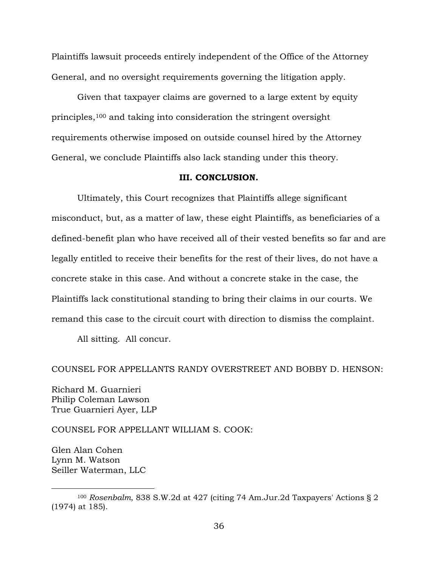Plaintiffs lawsuit proceeds entirely independent of the Office of the Attorney General, and no oversight requirements governing the litigation apply.

Given that taxpayer claims are governed to a large extent by equity principles,<sup>100</sup> and taking into consideration the stringent oversight requirements otherwise imposed on outside counsel hired by the Attorney General, we conclude Plaintiffs also lack standing under this theory.

## **III. CONCLUSION.**

Ultimately, this Court recognizes that Plaintiffs allege significant misconduct, but, as a matter of law, these eight Plaintiffs, as beneficiaries of a defined-benefit plan who have received all of their vested benefits so far and are legally entitled to receive their benefits for the rest of their lives, do not have a concrete stake in this case. And without a concrete stake in the case, the Plaintiffs lack constitutional standing to bring their claims in our courts. We remand this case to the circuit court with direction to dismiss the complaint.

All sitting. All concur.

#### COUNSEL FOR APPELLANTS RANDY OVERSTREET AND BOBBY D. HENSON:

Richard M. Guarnieri Philip Coleman Lawson True Guarnieri Ayer, LLP

COUNSEL FOR APPELLANT WILLIAM S. COOK:

Glen Alan Cohen Lynn M. Watson Seiller Waterman, LLC

<sup>100</sup> *Rosenbalm*, 838 S.W.2d at 427 (citing 74 Am.Jur.2d Taxpayers' Actions § 2 (1974) at 185).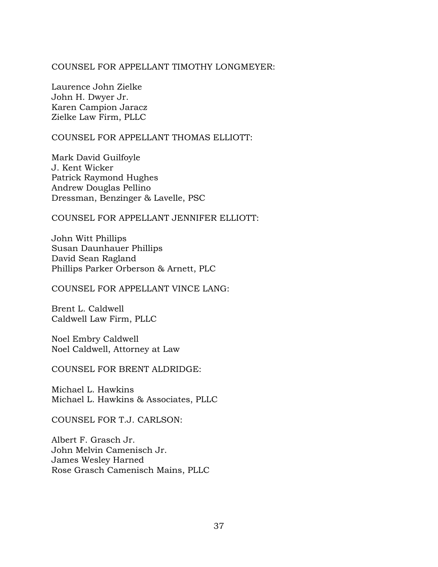## COUNSEL FOR APPELLANT TIMOTHY LONGMEYER:

Laurence John Zielke John H. Dwyer Jr. Karen Campion Jaracz Zielke Law Firm, PLLC

## COUNSEL FOR APPELLANT THOMAS ELLIOTT:

Mark David Guilfoyle J. Kent Wicker Patrick Raymond Hughes Andrew Douglas Pellino Dressman, Benzinger & Lavelle, PSC

# COUNSEL FOR APPELLANT JENNIFER ELLIOTT:

John Witt Phillips Susan Daunhauer Phillips David Sean Ragland Phillips Parker Orberson & Arnett, PLC

COUNSEL FOR APPELLANT VINCE LANG:

Brent L. Caldwell Caldwell Law Firm, PLLC

Noel Embry Caldwell Noel Caldwell, Attorney at Law

COUNSEL FOR BRENT ALDRIDGE:

Michael L. Hawkins Michael L. Hawkins & Associates, PLLC

COUNSEL FOR T.J. CARLSON:

Albert F. Grasch Jr. John Melvin Camenisch Jr. James Wesley Harned Rose Grasch Camenisch Mains, PLLC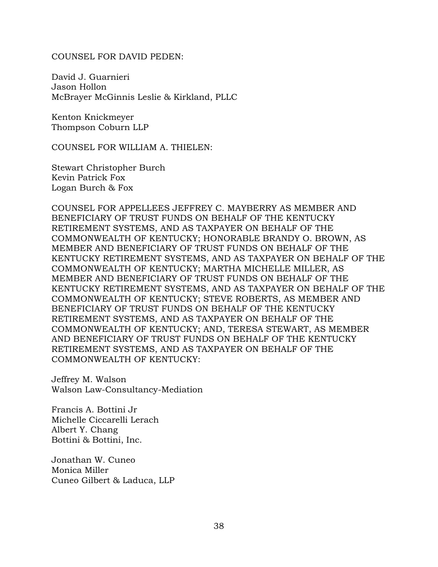#### COUNSEL FOR DAVID PEDEN:

David J. Guarnieri Jason Hollon McBrayer McGinnis Leslie & Kirkland, PLLC

Kenton Knickmeyer Thompson Coburn LLP

COUNSEL FOR WILLIAM A. THIELEN:

Stewart Christopher Burch Kevin Patrick Fox Logan Burch & Fox

COUNSEL FOR APPELLEES JEFFREY C. MAYBERRY AS MEMBER AND BENEFICIARY OF TRUST FUNDS ON BEHALF OF THE KENTUCKY RETIREMENT SYSTEMS, AND AS TAXPAYER ON BEHALF OF THE COMMONWEALTH OF KENTUCKY; HONORABLE BRANDY O. BROWN, AS MEMBER AND BENEFICIARY OF TRUST FUNDS ON BEHALF OF THE KENTUCKY RETIREMENT SYSTEMS, AND AS TAXPAYER ON BEHALF OF THE COMMONWEALTH OF KENTUCKY; MARTHA MICHELLE MILLER, AS MEMBER AND BENEFICIARY OF TRUST FUNDS ON BEHALF OF THE KENTUCKY RETIREMENT SYSTEMS, AND AS TAXPAYER ON BEHALF OF THE COMMONWEALTH OF KENTUCKY; STEVE ROBERTS, AS MEMBER AND BENEFICIARY OF TRUST FUNDS ON BEHALF OF THE KENTUCKY RETIREMENT SYSTEMS, AND AS TAXPAYER ON BEHALF OF THE COMMONWEALTH OF KENTUCKY; AND, TERESA STEWART, AS MEMBER AND BENEFICIARY OF TRUST FUNDS ON BEHALF OF THE KENTUCKY RETIREMENT SYSTEMS, AND AS TAXPAYER ON BEHALF OF THE COMMONWEALTH OF KENTUCKY:

Jeffrey M. Walson Walson Law-Consultancy-Mediation

Francis A. Bottini Jr Michelle Ciccarelli Lerach Albert Y. Chang Bottini & Bottini, Inc.

Jonathan W. Cuneo Monica Miller Cuneo Gilbert & Laduca, LLP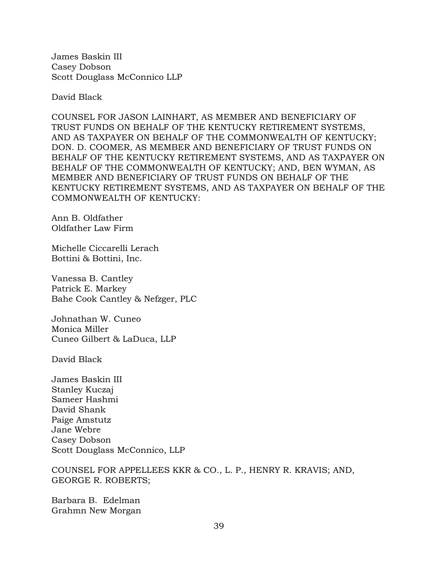James Baskin III Casey Dobson Scott Douglass McConnico LLP

David Black

COUNSEL FOR JASON LAINHART, AS MEMBER AND BENEFICIARY OF TRUST FUNDS ON BEHALF OF THE KENTUCKY RETIREMENT SYSTEMS, AND AS TAXPAYER ON BEHALF OF THE COMMONWEALTH OF KENTUCKY; DON. D. COOMER, AS MEMBER AND BENEFICIARY OF TRUST FUNDS ON BEHALF OF THE KENTUCKY RETIREMENT SYSTEMS, AND AS TAXPAYER ON BEHALF OF THE COMMONWEALTH OF KENTUCKY; AND, BEN WYMAN, AS MEMBER AND BENEFICIARY OF TRUST FUNDS ON BEHALF OF THE KENTUCKY RETIREMENT SYSTEMS, AND AS TAXPAYER ON BEHALF OF THE COMMONWEALTH OF KENTUCKY:

Ann B. Oldfather Oldfather Law Firm

Michelle Ciccarelli Lerach Bottini & Bottini, Inc.

Vanessa B. Cantley Patrick E. Markey Bahe Cook Cantley & Nefzger, PLC

Johnathan W. Cuneo Monica Miller Cuneo Gilbert & LaDuca, LLP

David Black

James Baskin III Stanley Kuczaj Sameer Hashmi David Shank Paige Amstutz Jane Webre Casey Dobson Scott Douglass McConnico, LLP

COUNSEL FOR APPELLEES KKR & CO., L. P., HENRY R. KRAVIS; AND, GEORGE R. ROBERTS;

Barbara B. Edelman Grahmn New Morgan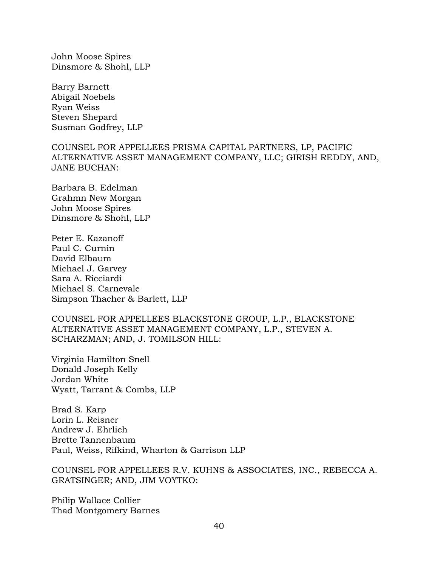John Moose Spires Dinsmore & Shohl, LLP

Barry Barnett Abigail Noebels Ryan Weiss Steven Shepard Susman Godfrey, LLP

COUNSEL FOR APPELLEES PRISMA CAPITAL PARTNERS, LP, PACIFIC ALTERNATIVE ASSET MANAGEMENT COMPANY, LLC; GIRISH REDDY, AND, JANE BUCHAN:

Barbara B. Edelman Grahmn New Morgan John Moose Spires Dinsmore & Shohl, LLP

Peter E. Kazanoff Paul C. Curnin David Elbaum Michael J. Garvey Sara A. Ricciardi Michael S. Carnevale Simpson Thacher & Barlett, LLP

COUNSEL FOR APPELLEES BLACKSTONE GROUP, L.P., BLACKSTONE ALTERNATIVE ASSET MANAGEMENT COMPANY, L.P., STEVEN A. SCHARZMAN; AND, J. TOMILSON HILL:

Virginia Hamilton Snell Donald Joseph Kelly Jordan White Wyatt, Tarrant & Combs, LLP

Brad S. Karp Lorin L. Reisner Andrew J. Ehrlich Brette Tannenbaum Paul, Weiss, Rifkind, Wharton & Garrison LLP

COUNSEL FOR APPELLEES R.V. KUHNS & ASSOCIATES, INC., REBECCA A. GRATSINGER; AND, JIM VOYTKO:

Philip Wallace Collier Thad Montgomery Barnes